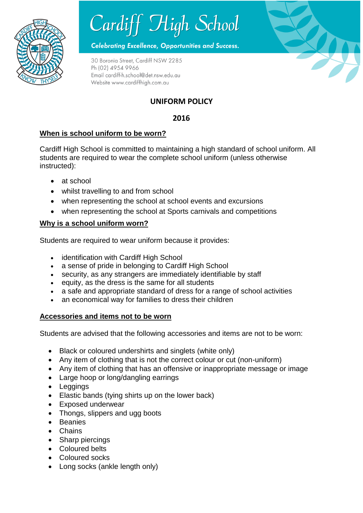



**Celebrating Excellence, Opportunities and Success.** 

30 Boronia Street, Cardiff NSW 2285 Ph (02) 4954 9966 Email cardiff-h.school@det.nsw.edu.au Website www.cardiffhigh.com.au

# **UNIFORM POLICY**

### **2016**

### **When is school uniform to be worn?**

Cardiff High School is committed to maintaining a high standard of school uniform. All students are required to wear the complete school uniform (unless otherwise instructed):

- at school
- whilst travelling to and from school
- when representing the school at school events and excursions
- when representing the school at Sports carnivals and competitions

#### **Why is a school uniform worn?**

Students are required to wear uniform because it provides:

- identification with Cardiff High School
- a sense of pride in belonging to Cardiff High School
- security, as any strangers are immediately identifiable by staff
- $\bullet$  equity, as the dress is the same for all students
- a safe and appropriate standard of dress for a range of school activities
- an economical way for families to dress their children

#### **Accessories and items not to be worn**

Students are advised that the following accessories and items are not to be worn:

- Black or coloured undershirts and singlets (white only)
- Any item of clothing that is not the correct colour or cut (non-uniform)
- Any item of clothing that has an offensive or inappropriate message or image
- Large hoop or long/dangling earrings
- Leggings
- Elastic bands (tying shirts up on the lower back)
- Exposed underwear
- Thongs, slippers and ugg boots
- Beanies
- Chains
- Sharp piercings
- Coloured belts
- Coloured socks
- Long socks (ankle length only)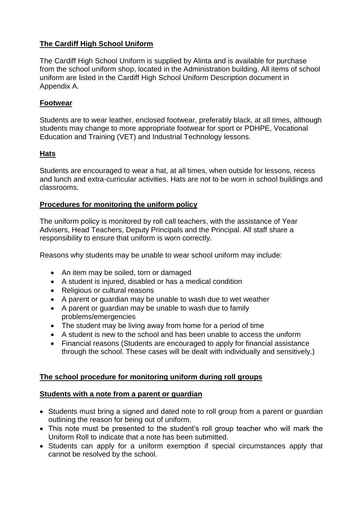### **The Cardiff High School Uniform**

The Cardiff High School Uniform is supplied by Alinta and is available for purchase from the school uniform shop, located in the Administration building. All items of school uniform are listed in the Cardiff High School Uniform Description document in Appendix A.

#### **Footwear**

Students are to wear leather, enclosed footwear, preferably black, at all times, although students may change to more appropriate footwear for sport or PDHPE, Vocational Education and Training (VET) and Industrial Technology lessons.

### **Hats**

Students are encouraged to wear a hat, at all times, when outside for lessons, recess and lunch and extra-curricular activities. Hats are not to be worn in school buildings and classrooms.

#### **Procedures for monitoring the uniform policy**

The uniform policy is monitored by roll call teachers, with the assistance of Year Advisers, Head Teachers, Deputy Principals and the Principal. All staff share a responsibility to ensure that uniform is worn correctly.

Reasons why students may be unable to wear school uniform may include:

- An item may be soiled, torn or damaged
- A student is injured, disabled or has a medical condition
- Religious or cultural reasons
- A parent or guardian may be unable to wash due to wet weather
- A parent or guardian may be unable to wash due to family problems/emergencies
- The student may be living away from home for a period of time
- A student is new to the school and has been unable to access the uniform
- Financial reasons (Students are encouraged to apply for financial assistance through the school. These cases will be dealt with individually and sensitively.)

#### **The school procedure for monitoring uniform during roll groups**

#### **Students with a note from a parent or guardian**

- Students must bring a signed and dated note to roll group from a parent or guardian outlining the reason for being out of uniform.
- This note must be presented to the student's roll group teacher who will mark the Uniform Roll to indicate that a note has been submitted.
- Students can apply for a uniform exemption if special circumstances apply that cannot be resolved by the school.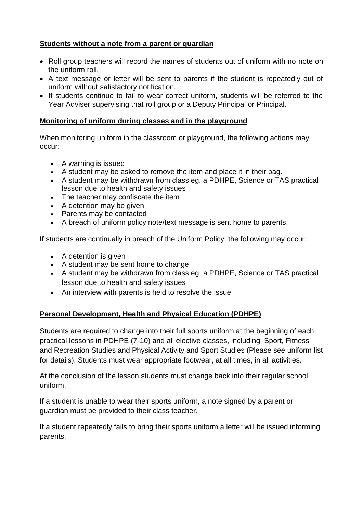#### **Students without a note from a parent or guardian**

- Roll group teachers will record the names of students out of uniform with no note on the uniform roll.
- A text message or letter will be sent to parents if the student is repeatedly out of uniform without satisfactory notification.
- If students continue to fail to wear correct uniform, students will be referred to the Year Adviser supervising that roll group or a Deputy Principal or Principal.

### **Monitoring of uniform during classes and in the playground**

When monitoring uniform in the classroom or playground, the following actions may occur:

- A warning is issued
- A student may be asked to remove the item and place it in their bag.
- A student may be withdrawn from class eg. a PDHPE, Science or TAS practical lesson due to health and safety issues
- The teacher may confiscate the item
- A detention may be given
- Parents may be contacted
- A breach of uniform policy note/text message is sent home to parents,

If students are continually in breach of the Uniform Policy, the following may occur:

- A detention is given
- A student may be sent home to change
- A student may be withdrawn from class eg. a PDHPE, Science or TAS practical lesson due to health and safety issues
- An interview with parents is held to resolve the issue

# **Personal Development, Health and Physical Education (PDHPE)**

Students are required to change into their full sports uniform at the beginning of each practical lessons in PDHPE (7-10) and all elective classes, including Sport, Fitness and Recreation Studies and Physical Activity and Sport Studies (Please see uniform list for details). Students must wear appropriate footwear, at all times, in all activities.

At the conclusion of the lesson students must change back into their regular school uniform.

If a student is unable to wear their sports uniform, a note signed by a parent or guardian must be provided to their class teacher.

If a student repeatedly fails to bring their sports uniform a letter will be issued informing parents.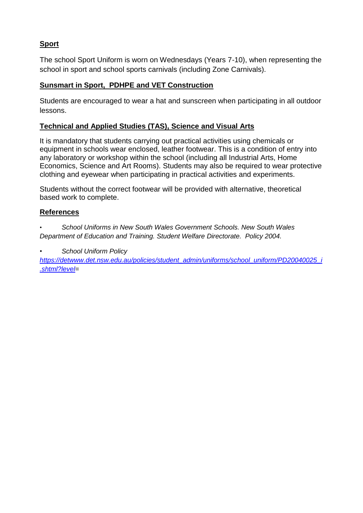# **Sport**

The school Sport Uniform is worn on Wednesdays (Years 7-10), when representing the school in sport and school sports carnivals (including Zone Carnivals).

# **Sunsmart in Sport, PDHPE and VET Construction**

Students are encouraged to wear a hat and sunscreen when participating in all outdoor lessons.

# **Technical and Applied Studies (TAS), Science and Visual Arts**

It is mandatory that students carrying out practical activities using chemicals or equipment in schools wear enclosed, leather footwear. This is a condition of entry into any laboratory or workshop within the school (including all Industrial Arts, Home Economics, Science and Art Rooms). Students may also be required to wear protective clothing and eyewear when participating in practical activities and experiments.

Students without the correct footwear will be provided with alternative, theoretical based work to complete.

# **References**

• *School Uniforms in New South Wales Government Schools. New South Wales Department of Education and Training. Student Welfare Directorate. Policy 2004.*

*• School Uniform Policy* 

*[https://detwww.det.nsw.edu.au/policies/student\\_admin/uniforms/school\\_uniform/PD20040025\\_i](https://detwww.det.nsw.edu.au/policies/student_admin/uniforms/school_uniform/PD20040025_i.shtml?level) [.shtml?level=](https://detwww.det.nsw.edu.au/policies/student_admin/uniforms/school_uniform/PD20040025_i.shtml?level)*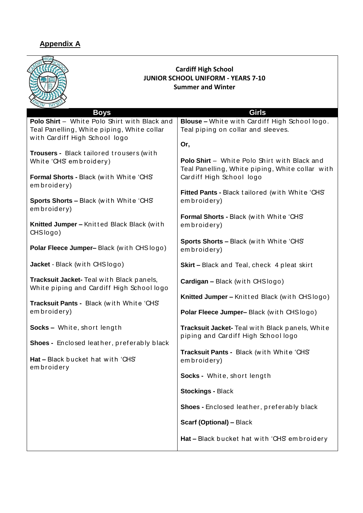# **Appendix A**

| <b>Cardiff High School</b><br><b>JUNIOR SCHOOL UNIFORM - YEARS 7-10</b><br><b>Summer and Winter</b>                         |                                                                                                                             |
|-----------------------------------------------------------------------------------------------------------------------------|-----------------------------------------------------------------------------------------------------------------------------|
| <b>Boys</b>                                                                                                                 | Girls                                                                                                                       |
| Polo Shirt - White Polo Shirt with Black and<br>Teal Panelling, White piping, White collar<br>with Cardiff High School logo | Blouse - White with Cardiff High School logo.<br>Teal piping on collar and sleeves.                                         |
|                                                                                                                             | Or,                                                                                                                         |
| Trousers - Black tailored trousers (with<br>White 'CHS' embroidery)<br>Formal Shorts - Black (with White 'CHS'              | Polo Shirt - White Polo Shirt with Black and<br>Teal Panelling, White piping, White collar with<br>Cardiff High School logo |
| embroidery)                                                                                                                 |                                                                                                                             |
| Sports Shorts - Black (with White 'CHS'<br>embroidery)                                                                      | Fitted Pants - Black tailored (with White 'CHS'<br>embroidery)                                                              |
|                                                                                                                             | Formal Shorts - Black (with White 'CHS'                                                                                     |
| Knitted Jumper - Knitted Black Black (with<br>CHSlogo)                                                                      | embroidery)                                                                                                                 |
| Polar Fleece Jumper-Black (with CHSlogo)                                                                                    | Sports Shorts - Black (with White 'CHS'<br>embroidery)                                                                      |
| Jacket - Black (with CHSlogo)                                                                                               | <b>Skirt-Black and Teal, check 4 pleat skirt</b>                                                                            |
| Tracksuit Jacket- Teal with Black panels,<br>White piping and Cardiff High School logo                                      | Cardigan - Black (with CHSlogo)                                                                                             |
| Tracksuit Pants - Black (with White 'CHS'<br>embroidery)                                                                    | Knitted Jumper - Knitted Black (with CHSlogo)                                                                               |
|                                                                                                                             | Polar Fleece Jumper-Black (with CHSlogo)                                                                                    |
| Socks - White, short length                                                                                                 | Tracksuit Jacket- Teal with Black panels, White<br>piping and Cardiff High School logo                                      |
| Shoes - Enclosed leather, preferably black                                                                                  |                                                                                                                             |
| Hat - Black bucket hat with 'CHS'<br>embroidery                                                                             | Tracksuit Pants - Black (with White 'CHS'<br>embroidery)                                                                    |
|                                                                                                                             | Socks - White, short length                                                                                                 |
|                                                                                                                             | <b>Stockings - Black</b>                                                                                                    |
|                                                                                                                             | Shoes - Enclosed leather, preferably black                                                                                  |
|                                                                                                                             | <b>Scarf (Optional) - Black</b>                                                                                             |
|                                                                                                                             | Hat - Black bucket hat with 'CHS' embroidery                                                                                |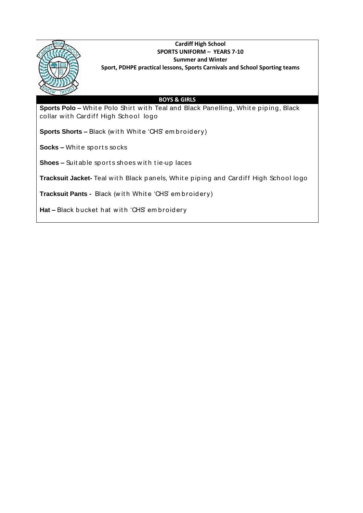

#### **Cardiff High School SPORTS UNIFORM – YEARS 7-10 Summer and Winter Sport, PDHPE practical lessons, Sports Carnivals and School Sporting teams**

#### **BOYS & GIRLS**

**Sports Polo -** White Polo Shirt with Teal and Black Panelling, White piping, Black collar with Cardiff High School logo

**Sports Shorts –** Black (with White 'CHS' embroidery)

**Socks –** Whit e sport s socks

**Shoes –** Suit ab le sp ort s shoes w it h t ie-up laces

Tracksuit Jacket-Teal with Black panels, White piping and Cardiff High School logo

**Tracksuit Pants -** Black (with White 'CHS' embroidery)

Hat - Black bucket hat with 'CHS' embroidery